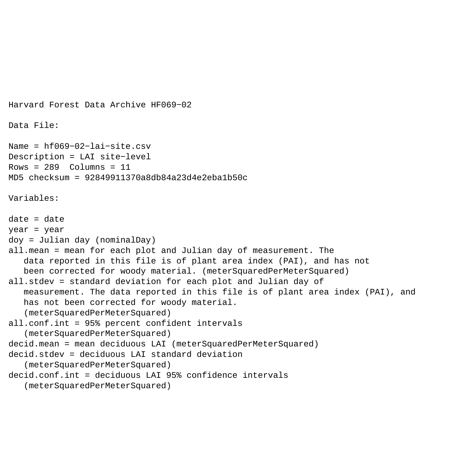```
Harvard Forest Data Archive HF069−02
Data File:
Name = hf069−02−lai−site.csv
Description = LAI site−level 
Rows = 289 Columns = 11MD5 checksum = 92849911370a8db84a23d4e2eba1b50c
Variables:
date = dateyear = year 
doy = Julian day (nominalDay) 
all.mean = mean for each plot and Julian day of measurement. The 
    data reported in this file is of plant area index (PAI), and has not 
   been corrected for woody material. (meterSquaredPerMeterSquared)
all.stdev = standard deviation for each plot and Julian day of 
    measurement. The data reported in this file is of plant area index (PAI), and 
    has not been corrected for woody material. 
    (meterSquaredPerMeterSquared) 
all.conf.int = 95% percent confident intervals 
    (meterSquaredPerMeterSquared) 
decid.mean = mean deciduous LAI (meterSquaredPerMeterSquared)
decid.stdev = deciduous LAI standard deviation 
    (meterSquaredPerMeterSquared) 
decid.conf.int = deciduous LAI 95% confidence intervals 
    (meterSquaredPerMeterSquared)
```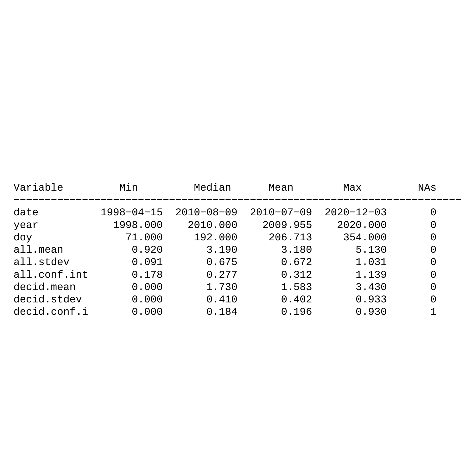| Variable     | Min              | Median           | Mean             | Max              | NAs |
|--------------|------------------|------------------|------------------|------------------|-----|
| date         | $1998 - 04 - 15$ | $2010 - 08 - 09$ | $2010 - 07 - 09$ | $2020 - 12 - 03$ | 0   |
| year         | 1998.000         | 2010.000         | 2009.955         | 2020.000         | 0   |
| doy          | 71.000           | 192.000          | 206.713          | 354.000          | 0   |
| all.mean     | 0.920            | 3.190            | 3.180            | 5.130            | 0   |
| all.stdev    | 0.091            | 0.675            | 0.672            | 1.031            | 0   |
| all.conf.int | 0.178            | 0.277            | 0.312            | 1.139            | 0   |
| decid.mean   | 0.000            | 1.730            | 1.583            | 3.430            | 0   |
| decid.stdev  | 0.000            | 0.410            | 0.402            | 0.933            | 0   |
| decid.conf.i | 0.000            | 0.184            | 0.196            | 0.930            |     |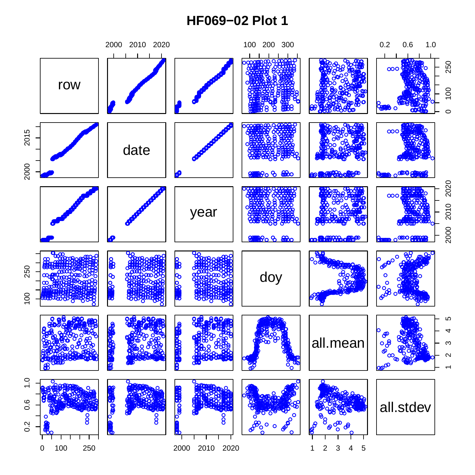## **HF069−02 Plot 1**